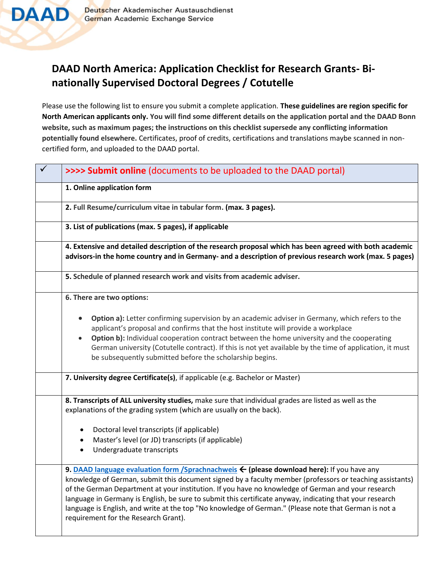

## **DAAD North America: Application Checklist for Research Grants- Binationally Supervised Doctoral Degrees / Cotutelle**

Please use the following list to ensure you submit a complete application. **These guidelines are region specific for North American applicants only. You will find some different details on the application portal and the DAAD Bonn website, such as maximum pages; the instructions on this checklist supersede any conflicting information potentially found elsewhere.** Certificates, proof of credits, certifications and translations maybe scanned in noncertified form, and uploaded to the DAAD portal.

| >>>> Submit online (documents to be uploaded to the DAAD portal)                                                                                                                                                                                                                                                                                                                                                                                                                                                                                                          |
|---------------------------------------------------------------------------------------------------------------------------------------------------------------------------------------------------------------------------------------------------------------------------------------------------------------------------------------------------------------------------------------------------------------------------------------------------------------------------------------------------------------------------------------------------------------------------|
| 1. Online application form                                                                                                                                                                                                                                                                                                                                                                                                                                                                                                                                                |
| 2. Full Resume/curriculum vitae in tabular form. (max. 3 pages).                                                                                                                                                                                                                                                                                                                                                                                                                                                                                                          |
| 3. List of publications (max. 5 pages), if applicable                                                                                                                                                                                                                                                                                                                                                                                                                                                                                                                     |
| 4. Extensive and detailed description of the research proposal which has been agreed with both academic<br>advisors-in the home country and in Germany- and a description of previous research work (max. 5 pages)                                                                                                                                                                                                                                                                                                                                                        |
| 5. Schedule of planned research work and visits from academic adviser.                                                                                                                                                                                                                                                                                                                                                                                                                                                                                                    |
| 6. There are two options:                                                                                                                                                                                                                                                                                                                                                                                                                                                                                                                                                 |
| Option a): Letter confirming supervision by an academic adviser in Germany, which refers to the<br>applicant's proposal and confirms that the host institute will provide a workplace<br>Option b): Individual cooperation contract between the home university and the cooperating<br>German university (Cotutelle contract). If this is not yet available by the time of application, it must<br>be subsequently submitted before the scholarship begins.                                                                                                               |
| 7. University degree Certificate(s), if applicable (e.g. Bachelor or Master)                                                                                                                                                                                                                                                                                                                                                                                                                                                                                              |
| 8. Transcripts of ALL university studies, make sure that individual grades are listed as well as the<br>explanations of the grading system (which are usually on the back).                                                                                                                                                                                                                                                                                                                                                                                               |
| Doctoral level transcripts (if applicable)<br>Master's level (or JD) transcripts (if applicable)<br>$\bullet$<br>Undergraduate transcripts<br>$\bullet$                                                                                                                                                                                                                                                                                                                                                                                                                   |
| 9. DAAD language evaluation form /Sprachnachweis ← (please download here): If you have any<br>knowledge of German, submit this document signed by a faculty member (professors or teaching assistants)<br>of the German Department at your institution. If you have no knowledge of German and your research<br>language in Germany is English, be sure to submit this certificate anyway, indicating that your research<br>language is English, and write at the top "No knowledge of German." (Please note that German is not a<br>requirement for the Research Grant). |